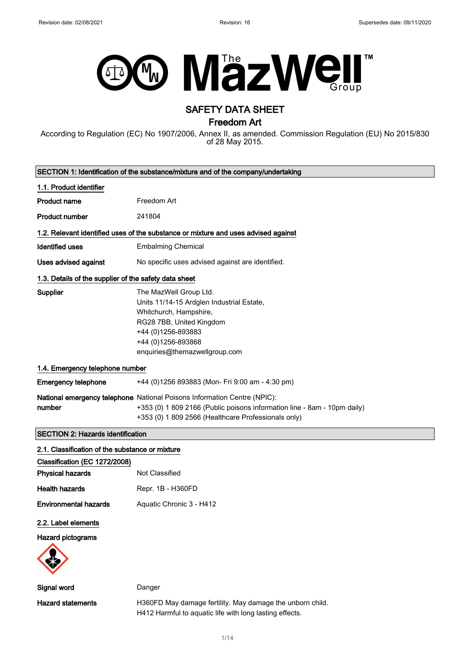

# SAFETY DATA SHEET

Freedom Art

According to Regulation (EC) No 1907/2006, Annex II, as amended. Commission Regulation (EU) No 2015/830 of 28 May 2015.

| SECTION 1: Identification of the substance/mixture and of the company/undertaking |                                                                                                                                                                                                             |  |
|-----------------------------------------------------------------------------------|-------------------------------------------------------------------------------------------------------------------------------------------------------------------------------------------------------------|--|
| 1.1. Product identifier                                                           |                                                                                                                                                                                                             |  |
| <b>Product name</b>                                                               | Freedom Art                                                                                                                                                                                                 |  |
| <b>Product number</b>                                                             | 241804                                                                                                                                                                                                      |  |
|                                                                                   | 1.2. Relevant identified uses of the substance or mixture and uses advised against                                                                                                                          |  |
| <b>Identified uses</b>                                                            | <b>Embalming Chemical</b>                                                                                                                                                                                   |  |
| Uses advised against                                                              | No specific uses advised against are identified.                                                                                                                                                            |  |
| 1.3. Details of the supplier of the safety data sheet                             |                                                                                                                                                                                                             |  |
| <b>Supplier</b>                                                                   | The MazWell Group Ltd.<br>Units 11/14-15 Ardglen Industrial Estate,<br>Whitchurch, Hampshire,<br>RG28 7BB, United Kingdom<br>+44 (0)1256-893883<br>+44 (0)1256-893868<br>enquiries@themazwellgroup.com      |  |
| 1.4. Emergency telephone number                                                   |                                                                                                                                                                                                             |  |
| <b>Emergency telephone</b>                                                        | +44 (0)1256 893883 (Mon- Fri 9:00 am - 4:30 pm)                                                                                                                                                             |  |
| number                                                                            | National emergency telephone National Poisons Information Centre (NPIC):<br>+353 (0) 1 809 2166 (Public poisons information line - 8am - 10pm daily)<br>+353 (0) 1 809 2566 (Healthcare Professionals only) |  |
| <b>SECTION 2: Hazards identification</b>                                          |                                                                                                                                                                                                             |  |
| 2.1. Classification of the substance or mixture                                   |                                                                                                                                                                                                             |  |
| Classification (EC 1272/2008)                                                     |                                                                                                                                                                                                             |  |
| <b>Physical hazards</b>                                                           | <b>Not Classified</b>                                                                                                                                                                                       |  |
| <b>Health hazards</b>                                                             | Repr. 1B - H360FD                                                                                                                                                                                           |  |
| <b>Environmental hazards</b>                                                      | Aquatic Chronic 3 - H412                                                                                                                                                                                    |  |
| 2.2. Label elements<br><b>Hazard pictograms</b>                                   |                                                                                                                                                                                                             |  |
| Signal word                                                                       | Danger                                                                                                                                                                                                      |  |

Hazard statements **H360FD** May damage fertility. May damage the unborn child. H412 Harmful to aquatic life with long lasting effects.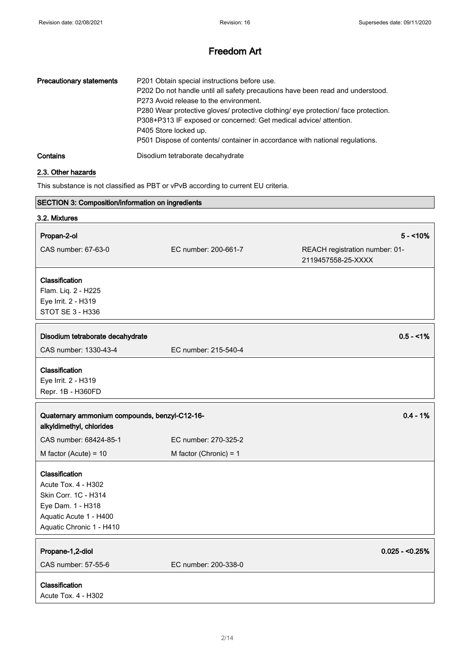| <b>Precautionary statements</b> | P201 Obtain special instructions before use.<br>P202 Do not handle until all safety precautions have been read and understood.<br>P273 Avoid release to the environment.<br>P280 Wear protective gloves/ protective clothing/ eye protection/ face protection.<br>P308+P313 IF exposed or concerned: Get medical advice/ attention.<br>P405 Store locked up.<br>P501 Dispose of contents/ container in accordance with national regulations. |
|---------------------------------|----------------------------------------------------------------------------------------------------------------------------------------------------------------------------------------------------------------------------------------------------------------------------------------------------------------------------------------------------------------------------------------------------------------------------------------------|
| Contains                        | Disodium tetraborate decahydrate                                                                                                                                                                                                                                                                                                                                                                                                             |

## 2.3. Other hazards

This substance is not classified as PBT or vPvB according to current EU criteria.

| SECTION 3: Composition/information on ingredients                         |                          |                                                      |
|---------------------------------------------------------------------------|--------------------------|------------------------------------------------------|
| 3.2. Mixtures                                                             |                          |                                                      |
| Propan-2-ol                                                               |                          | $5 - 10%$                                            |
| CAS number: 67-63-0                                                       | EC number: 200-661-7     | REACH registration number: 01-<br>2119457558-25-XXXX |
| Classification                                                            |                          |                                                      |
| Flam. Liq. 2 - H225                                                       |                          |                                                      |
| Eye Irrit. 2 - H319                                                       |                          |                                                      |
| STOT SE 3 - H336                                                          |                          |                                                      |
| Disodium tetraborate decahydrate                                          |                          | $0.5 - 1%$                                           |
| CAS number: 1330-43-4                                                     | EC number: 215-540-4     |                                                      |
| Classification<br>Eye Irrit. 2 - H319<br>Repr. 1B - H360FD                |                          |                                                      |
|                                                                           |                          |                                                      |
| Quaternary ammonium compounds, benzyl-C12-16-<br>alkyldimethyl, chlorides |                          | $0.4 - 1%$                                           |
| CAS number: 68424-85-1                                                    | EC number: 270-325-2     |                                                      |
| M factor (Acute) = $10$                                                   | M factor (Chronic) = $1$ |                                                      |
| Classification                                                            |                          |                                                      |
| Acute Tox. 4 - H302                                                       |                          |                                                      |
| Skin Corr. 1C - H314                                                      |                          |                                                      |
| Eye Dam. 1 - H318                                                         |                          |                                                      |
| Aquatic Acute 1 - H400                                                    |                          |                                                      |
| Aquatic Chronic 1 - H410                                                  |                          |                                                      |
| Propane-1,2-diol                                                          |                          | $0.025 - 0.25%$                                      |
| CAS number: 57-55-6                                                       | EC number: 200-338-0     |                                                      |
| Classification                                                            |                          |                                                      |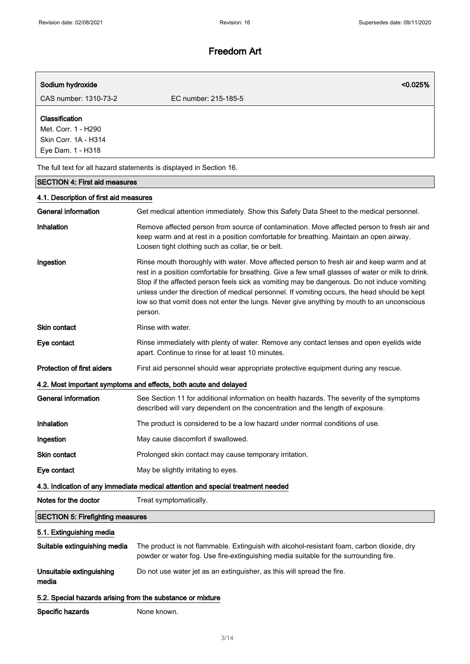| Sodium hydroxide                                                                   |                      | $< 0.025\%$ |
|------------------------------------------------------------------------------------|----------------------|-------------|
| CAS number: 1310-73-2                                                              | EC number: 215-185-5 |             |
| Classification<br>Met. Corr. 1 - H290<br>Skin Corr. 1A - H314<br>Eye Dam. 1 - H318 |                      |             |
| The full text for all hazard statements is displayed in Section 16.                |                      |             |

# SECTION 4: First aid measures 4.1. Description of first aid measures General information Get medical attention immediately. Show this Safety Data Sheet to the medical personnel. Inhalation Remove affected person from source of contamination. Move affected person to fresh air and keep warm and at rest in a position comfortable for breathing. Maintain an open airway. Loosen tight clothing such as collar, tie or belt. Ingestion **Rinse mouth thoroughly with water.** Move affected person to fresh air and keep warm and at rest in a position comfortable for breathing. Give a few small glasses of water or milk to drink. Stop if the affected person feels sick as vomiting may be dangerous. Do not induce vomiting unless under the direction of medical personnel. If vomiting occurs, the head should be kept low so that vomit does not enter the lungs. Never give anything by mouth to an unconscious person. Skin contact Rinse with water. Eye contact **Rinse immediately with plenty of water.** Remove any contact lenses and open eyelids wide apart. Continue to rinse for at least 10 minutes. Protection of first aiders First aid personnel should wear appropriate protective equipment during any rescue. 4.2. Most important symptoms and effects, both acute and delayed General information See Section 11 for additional information on health hazards. The severity of the symptoms described will vary dependent on the concentration and the length of exposure. Inhalation The product is considered to be a low hazard under normal conditions of use. Ingestion May cause discomfort if swallowed. Skin contact **Prolonged skin contact may cause temporary irritation.** Eye contact May be slightly irritating to eyes. 4.3. Indication of any immediate medical attention and special treatment needed Notes for the doctor Treat symptomatically. SECTION 5: Firefighting measures 5.1. Extinguishing media Suitable extinguishing media The product is not flammable. Extinguish with alcohol-resistant foam, carbon dioxide, dry powder or water fog. Use fire-extinguishing media suitable for the surrounding fire. Unsuitable extinguishing media Do not use water jet as an extinguisher, as this will spread the fire.

#### 5.2. Special hazards arising from the substance or mixture

Specific hazards None known.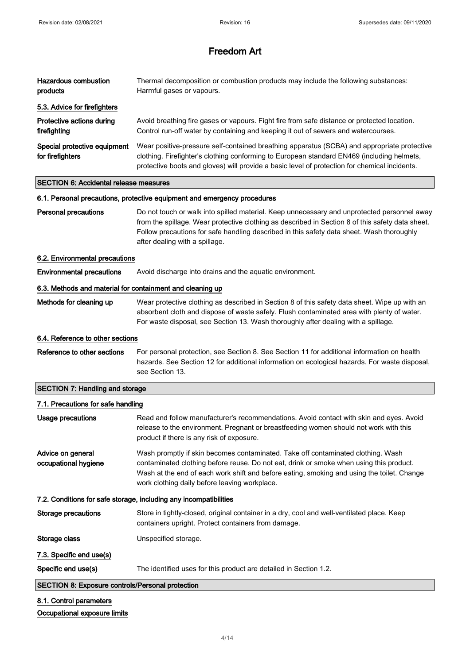| Hazardous combustion<br>products                                         | Thermal decomposition or combustion products may include the following substances:<br>Harmful gases or vapours.                                                                                                                                                                            |  |
|--------------------------------------------------------------------------|--------------------------------------------------------------------------------------------------------------------------------------------------------------------------------------------------------------------------------------------------------------------------------------------|--|
| 5.3. Advice for firefighters                                             |                                                                                                                                                                                                                                                                                            |  |
| Protective actions during<br>firefighting                                | Avoid breathing fire gases or vapours. Fight fire from safe distance or protected location.<br>Control run-off water by containing and keeping it out of sewers and watercourses.                                                                                                          |  |
| Special protective equipment<br>for firefighters                         | Wear positive-pressure self-contained breathing apparatus (SCBA) and appropriate protective<br>clothing. Firefighter's clothing conforming to European standard EN469 (including helmets,<br>protective boots and gloves) will provide a basic level of protection for chemical incidents. |  |
| <b>SECTION 6: Accidental release measures</b>                            |                                                                                                                                                                                                                                                                                            |  |
| 6.1. Personal precautions, protective equipment and emergency procedures |                                                                                                                                                                                                                                                                                            |  |
| <b>Personal precautions</b>                                              | Do not touch or walk into spilled material. Keep unnecessary and unprotected personnel away                                                                                                                                                                                                |  |

Personal precautions **Do not touch or walk into spilled material**. Keep unnecessary and unprotected personnel away from the spillage. Wear protective clothing as described in Section 8 of this safety data sheet. Follow precautions for safe handling described in this safety data sheet. Wash thoroughly

#### 6.2. Environmental precautions

**Environmental precautions** Avoid discharge into drains and the aquatic environment.

after dealing with a spillage.

#### 6.3. Methods and material for containment and cleaning up

Methods for cleaning up Wear protective clothing as described in Section 8 of this safety data sheet. Wipe up with an absorbent cloth and dispose of waste safely. Flush contaminated area with plenty of water. For waste disposal, see Section 13. Wash thoroughly after dealing with a spillage.

#### 6.4. Reference to other sections

Reference to other sections For personal protection, see Section 8. See Section 11 for additional information on health hazards. See Section 12 for additional information on ecological hazards. For waste disposal, see Section 13.

# SECTION 7: Handling and storage

# 7.1. Precautions for safe handling Usage precautions **Read and follow manufacturer's recommendations**. Avoid contact with skin and eyes. Avoid release to the environment. Pregnant or breastfeeding women should not work with this product if there is any risk of exposure. Advice on general occupational hygiene Wash promptly if skin becomes contaminated. Take off contaminated clothing. Wash contaminated clothing before reuse. Do not eat, drink or smoke when using this product. Wash at the end of each work shift and before eating, smoking and using the toilet. Change work clothing daily before leaving workplace. 7.2. Conditions for safe storage, including any incompatibilities Storage precautions Store in tightly-closed, original container in a dry, cool and well-ventilated place. Keep containers upright. Protect containers from damage. Storage class Unspecified storage. 7.3. Specific end use(s) Specific end use(s) The identified uses for this product are detailed in Section 1.2. SECTION 8: Exposure controls/Personal protection 8.1. Control parameters

## Occupational exposure limits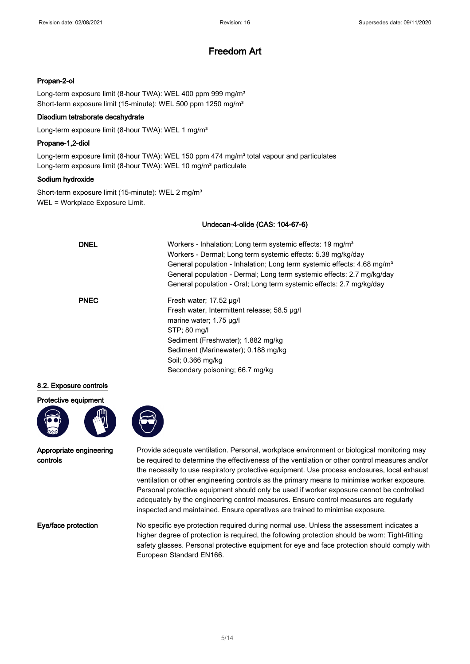## Propan-2-ol

Long-term exposure limit (8-hour TWA): WEL 400 ppm 999 mg/m<sup>3</sup> Short-term exposure limit (15-minute): WEL 500 ppm 1250 mg/m<sup>3</sup>

## Disodium tetraborate decahydrate

Long-term exposure limit (8-hour TWA): WEL 1 mg/m<sup>3</sup>

#### Propane-1,2-diol

Long-term exposure limit (8-hour TWA): WEL 150 ppm 474 mg/m<sup>3</sup> total vapour and particulates Long-term exposure limit (8-hour TWA): WEL 10 mg/m<sup>3</sup> particulate

## Sodium hydroxide

Short-term exposure limit (15-minute): WEL 2 mg/m<sup>3</sup> WEL = Workplace Exposure Limit.

## Undecan-4-olide (CAS: 104-67-6)

| <b>DNEL</b> | Workers - Inhalation; Long term systemic effects: 19 mg/m <sup>3</sup><br>Workers - Dermal; Long term systemic effects: 5.38 mg/kg/day<br>General population - Inhalation; Long term systemic effects: 4.68 mg/m <sup>3</sup><br>General population - Dermal; Long term systemic effects: 2.7 mg/kg/day<br>General population - Oral; Long term systemic effects: 2.7 mg/kg/day |
|-------------|---------------------------------------------------------------------------------------------------------------------------------------------------------------------------------------------------------------------------------------------------------------------------------------------------------------------------------------------------------------------------------|
| <b>PNEC</b> | Fresh water; 17.52 ug/l<br>Fresh water, Intermittent release; 58.5 µg/l<br>marine water; 1.75 µg/l<br>STP: 80 mg/l<br>Sediment (Freshwater); 1.882 mg/kg<br>Sediment (Marinewater); 0.188 mg/kg<br>Soil: 0.366 mg/kg<br>Secondary poisoning; 66.7 mg/kg                                                                                                                         |

## 8.2. Exposure controls

Protective equipment





Appropriate engineering controls

Provide adequate ventilation. Personal, workplace environment or biological monitoring may be required to determine the effectiveness of the ventilation or other control measures and/or the necessity to use respiratory protective equipment. Use process enclosures, local exhaust ventilation or other engineering controls as the primary means to minimise worker exposure. Personal protective equipment should only be used if worker exposure cannot be controlled adequately by the engineering control measures. Ensure control measures are regularly inspected and maintained. Ensure operatives are trained to minimise exposure.

Eye/face protection No specific eye protection required during normal use. Unless the assessment indicates a higher degree of protection is required, the following protection should be worn: Tight-fitting safety glasses. Personal protective equipment for eye and face protection should comply with European Standard EN166.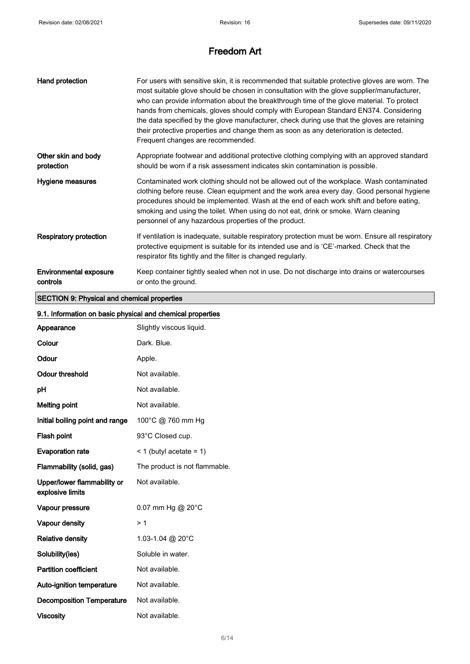| Hand protection                    | For users with sensitive skin, it is recommended that suitable protective gloves are worn. The<br>most suitable glove should be chosen in consultation with the glove supplier/manufacturer,<br>who can provide information about the breakthrough time of the glove material. To protect<br>hands from chemicals, gloves should comply with European Standard EN374. Considering<br>the data specified by the glove manufacturer, check during use that the gloves are retaining<br>their protective properties and change them as soon as any deterioration is detected.<br>Frequent changes are recommended. |
|------------------------------------|-----------------------------------------------------------------------------------------------------------------------------------------------------------------------------------------------------------------------------------------------------------------------------------------------------------------------------------------------------------------------------------------------------------------------------------------------------------------------------------------------------------------------------------------------------------------------------------------------------------------|
| Other skin and body<br>protection  | Appropriate footwear and additional protective clothing complying with an approved standard<br>should be worn if a risk assessment indicates skin contamination is possible.                                                                                                                                                                                                                                                                                                                                                                                                                                    |
| Hygiene measures                   | Contaminated work clothing should not be allowed out of the workplace. Wash contaminated<br>clothing before reuse. Clean equipment and the work area every day. Good personal hygiene<br>procedures should be implemented. Wash at the end of each work shift and before eating,<br>smoking and using the toilet. When using do not eat, drink or smoke. Warn cleaning<br>personnel of any hazardous properties of the product.                                                                                                                                                                                 |
| <b>Respiratory protection</b>      | If ventilation is inadequate, suitable respiratory protection must be worn. Ensure all respiratory<br>protective equipment is suitable for its intended use and is 'CE'-marked. Check that the<br>respirator fits tightly and the filter is changed regularly.                                                                                                                                                                                                                                                                                                                                                  |
| Environmental exposure<br>controls | Keep container tightly sealed when not in use. Do not discharge into drains or watercourses<br>or onto the ground.                                                                                                                                                                                                                                                                                                                                                                                                                                                                                              |

# SECTION 9: Physical and chemical properties

| Appearance                                      | Slightly viscous liquid.      |
|-------------------------------------------------|-------------------------------|
| Colour                                          | Dark. Blue.                   |
| Odour                                           | Apple.                        |
| <b>Odour threshold</b>                          | Not available.                |
| рH                                              | Not available.                |
| <b>Melting point</b>                            | Not available.                |
| Initial boiling point and range                 | 100°C @ 760 mm Hg             |
| Flash point                                     | 93°C Closed cup.              |
| <b>Evaporation rate</b>                         | $<$ 1 (butyl acetate = 1)     |
| Flammability (solid, gas)                       | The product is not flammable. |
| Upper/lower flammability or<br>explosive limits | Not available.                |
| Vapour pressure                                 | 0.07 mm Hg @ 20°C             |
| Vapour density                                  | >1                            |
| <b>Relative density</b>                         | 1.03-1.04 @ 20°C              |
| Solubility(ies)                                 | Soluble in water.             |
| <b>Partition coefficient</b>                    | Not available.                |
| Auto-ignition temperature                       | Not available.                |
| <b>Decomposition Temperature</b>                | Not available.                |
| <b>Viscosity</b>                                | Not available.                |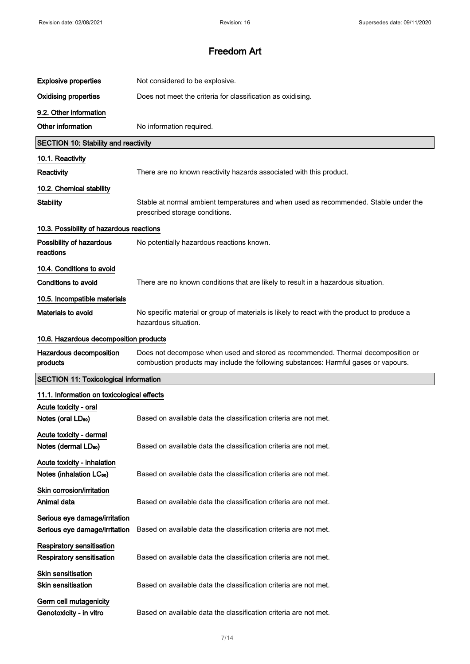| <b>Explosive properties</b>                                         | Not considered to be explosive.                                                                                                                                         |  |
|---------------------------------------------------------------------|-------------------------------------------------------------------------------------------------------------------------------------------------------------------------|--|
| <b>Oxidising properties</b>                                         | Does not meet the criteria for classification as oxidising.                                                                                                             |  |
| 9.2. Other information                                              |                                                                                                                                                                         |  |
| Other information                                                   | No information required.                                                                                                                                                |  |
| <b>SECTION 10: Stability and reactivity</b>                         |                                                                                                                                                                         |  |
| 10.1. Reactivity                                                    |                                                                                                                                                                         |  |
| Reactivity                                                          | There are no known reactivity hazards associated with this product.                                                                                                     |  |
| 10.2. Chemical stability                                            |                                                                                                                                                                         |  |
| <b>Stability</b>                                                    | Stable at normal ambient temperatures and when used as recommended. Stable under the<br>prescribed storage conditions.                                                  |  |
| 10.3. Possibility of hazardous reactions                            |                                                                                                                                                                         |  |
| Possibility of hazardous<br>reactions                               | No potentially hazardous reactions known.                                                                                                                               |  |
| 10.4. Conditions to avoid                                           |                                                                                                                                                                         |  |
| <b>Conditions to avoid</b>                                          | There are no known conditions that are likely to result in a hazardous situation.                                                                                       |  |
| 10.5. Incompatible materials                                        |                                                                                                                                                                         |  |
| Materials to avoid                                                  | No specific material or group of materials is likely to react with the product to produce a<br>hazardous situation.                                                     |  |
| 10.6. Hazardous decomposition products                              |                                                                                                                                                                         |  |
|                                                                     |                                                                                                                                                                         |  |
| Hazardous decomposition<br>products                                 | Does not decompose when used and stored as recommended. Thermal decomposition or<br>combustion products may include the following substances: Harmful gases or vapours. |  |
| <b>SECTION 11: Toxicological information</b>                        |                                                                                                                                                                         |  |
| 11.1. Information on toxicological effects                          |                                                                                                                                                                         |  |
| Acute toxicity - oral<br>Notes (oral LD <sub>50</sub> )             | Based on available data the classification criteria are not met.                                                                                                        |  |
| Acute toxicity - dermal<br>Notes (dermal LD <sub>50</sub> )         | Based on available data the classification criteria are not met.                                                                                                        |  |
| Acute toxicity - inhalation<br>Notes (inhalation LC <sub>50</sub> ) | Based on available data the classification criteria are not met.                                                                                                        |  |
| Skin corrosion/irritation<br>Animal data                            | Based on available data the classification criteria are not met.                                                                                                        |  |
| Serious eye damage/irritation<br>Serious eye damage/irritation      | Based on available data the classification criteria are not met.                                                                                                        |  |
| <b>Respiratory sensitisation</b><br>Respiratory sensitisation       | Based on available data the classification criteria are not met.                                                                                                        |  |
| <b>Skin sensitisation</b><br><b>Skin sensitisation</b>              | Based on available data the classification criteria are not met.                                                                                                        |  |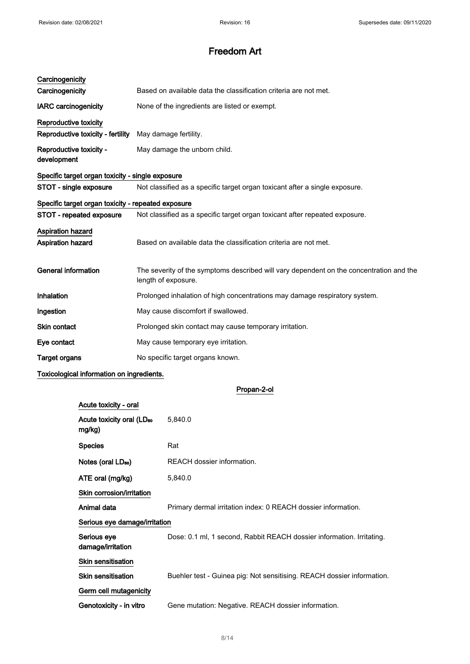| Carcinogenicity                                    |                                                                                                                |
|----------------------------------------------------|----------------------------------------------------------------------------------------------------------------|
| Carcinogenicity                                    | Based on available data the classification criteria are not met.                                               |
| <b>IARC</b> carcinogenicity                        | None of the ingredients are listed or exempt.                                                                  |
| Reproductive toxicity                              |                                                                                                                |
| Reproductive toxicity - fertility                  | May damage fertility.                                                                                          |
| Reproductive toxicity -<br>development             | May damage the unborn child.                                                                                   |
| Specific target organ toxicity - single exposure   |                                                                                                                |
| STOT - single exposure                             | Not classified as a specific target organ toxicant after a single exposure.                                    |
| Specific target organ toxicity - repeated exposure |                                                                                                                |
| STOT - repeated exposure                           | Not classified as a specific target organ toxicant after repeated exposure.                                    |
| Aspiration hazard<br>Aspiration hazard             | Based on available data the classification criteria are not met.                                               |
| <b>General information</b>                         | The severity of the symptoms described will vary dependent on the concentration and the<br>length of exposure. |
| Inhalation                                         | Prolonged inhalation of high concentrations may damage respiratory system.                                     |
| Ingestion                                          | May cause discomfort if swallowed.                                                                             |
| Skin contact                                       | Prolonged skin contact may cause temporary irritation.                                                         |
| Eye contact                                        | May cause temporary eye irritation.                                                                            |
| <b>Target organs</b>                               | No specific target organs known.                                                                               |

## Toxicological information on ingredients.

Propan-2-ol

| Acute toxicity - oral                           |                                                                        |
|-------------------------------------------------|------------------------------------------------------------------------|
| Acute toxicity oral (LD <sub>50</sub><br>mg/kg) | 5,840.0                                                                |
| <b>Species</b>                                  | Rat                                                                    |
| Notes (oral LD <sub>50</sub> )                  | REACH dossier information.                                             |
| ATE oral (mg/kg)                                | 5,840.0                                                                |
| Skin corrosion/irritation                       |                                                                        |
| Animal data                                     | Primary dermal irritation index: 0 REACH dossier information.          |
| Serious eye damage/irritation                   |                                                                        |
| Serious eye<br>damage/irritation                | Dose: 0.1 ml, 1 second, Rabbit REACH dossier information. Irritating.  |
| <b>Skin sensitisation</b>                       |                                                                        |
| <b>Skin sensitisation</b>                       | Buehler test - Guinea pig: Not sensitising. REACH dossier information. |
| Germ cell mutagenicity                          |                                                                        |
| Genotoxicity - in vitro                         | Gene mutation: Negative. REACH dossier information.                    |
|                                                 |                                                                        |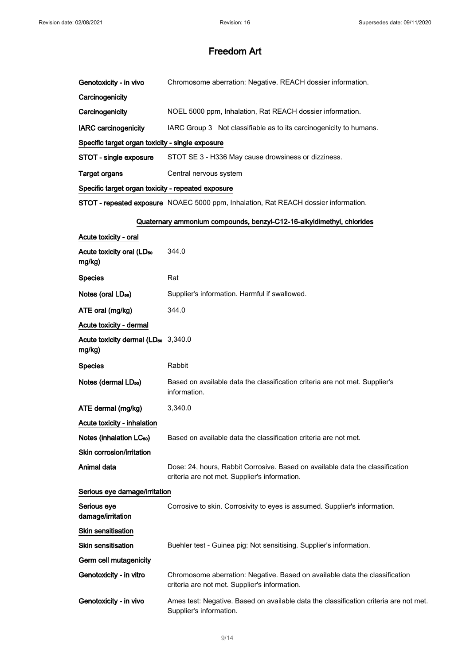| Genotoxicity - in vivo                                    | Chromosome aberration: Negative. REACH dossier information.                                                                    |
|-----------------------------------------------------------|--------------------------------------------------------------------------------------------------------------------------------|
| Carcinogenicity                                           |                                                                                                                                |
| Carcinogenicity                                           | NOEL 5000 ppm, Inhalation, Rat REACH dossier information.                                                                      |
| <b>IARC</b> carcinogenicity                               | IARC Group 3 Not classifiable as to its carcinogenicity to humans.                                                             |
| Specific target organ toxicity - single exposure          |                                                                                                                                |
| STOT - single exposure                                    | STOT SE 3 - H336 May cause drowsiness or dizziness.                                                                            |
| <b>Target organs</b>                                      | Central nervous system                                                                                                         |
| Specific target organ toxicity - repeated exposure        |                                                                                                                                |
|                                                           | STOT - repeated exposure NOAEC 5000 ppm, Inhalation, Rat REACH dossier information.                                            |
|                                                           | Quaternary ammonium compounds, benzyl-C12-16-alkyldimethyl, chlorides                                                          |
| Acute toxicity - oral                                     |                                                                                                                                |
| Acute toxicity oral (LD <sub>50</sub><br>mg/kg)           | 344.0                                                                                                                          |
| <b>Species</b>                                            | Rat                                                                                                                            |
| Notes (oral LD <sub>50</sub> )                            | Supplier's information. Harmful if swallowed.                                                                                  |
| ATE oral (mg/kg)                                          | 344.0                                                                                                                          |
| Acute toxicity - dermal                                   |                                                                                                                                |
| Acute toxicity dermal (LD <sub>50</sub> 3,340.0<br>mg/kg) |                                                                                                                                |
| <b>Species</b>                                            | Rabbit                                                                                                                         |
| Notes (dermal LD <sub>50</sub> )                          | Based on available data the classification criteria are not met. Supplier's<br>information.                                    |
| ATE dermal (mg/kg)                                        | 3,340.0                                                                                                                        |
| Acute toxicity - inhalation                               |                                                                                                                                |
| Notes (inhalation LC <sub>50</sub> )                      | Based on available data the classification criteria are not met.                                                               |
| Skin corrosion/irritation                                 |                                                                                                                                |
| Animal data                                               | Dose: 24, hours, Rabbit Corrosive. Based on available data the classification<br>criteria are not met. Supplier's information. |
| Serious eye damage/irritation                             |                                                                                                                                |
| Serious eye<br>damage/irritation                          | Corrosive to skin. Corrosivity to eyes is assumed. Supplier's information.                                                     |
| Skin sensitisation                                        |                                                                                                                                |
| <b>Skin sensitisation</b>                                 | Buehler test - Guinea pig: Not sensitising. Supplier's information.                                                            |
| Germ cell mutagenicity                                    |                                                                                                                                |
| Genotoxicity - in vitro                                   | Chromosome aberration: Negative. Based on available data the classification<br>criteria are not met. Supplier's information.   |
| Genotoxicity - in vivo                                    | Ames test: Negative. Based on available data the classification criteria are not met.<br>Supplier's information.               |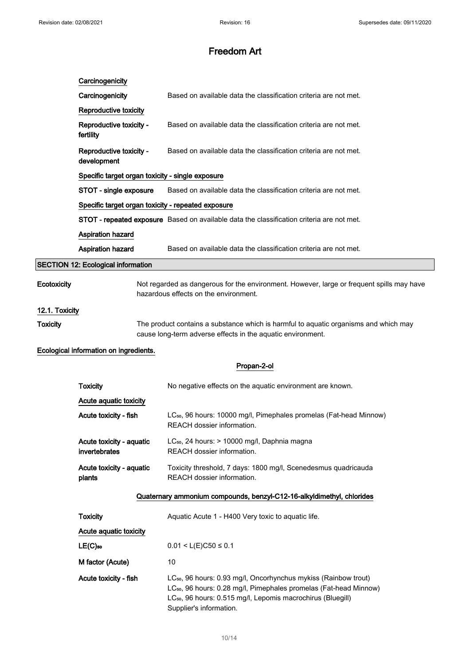|                 | Carcinogenicity                                                       |                                                                                                                                                                                                                                                                    |
|-----------------|-----------------------------------------------------------------------|--------------------------------------------------------------------------------------------------------------------------------------------------------------------------------------------------------------------------------------------------------------------|
|                 | Carcinogenicity                                                       | Based on available data the classification criteria are not met.                                                                                                                                                                                                   |
|                 | Reproductive toxicity                                                 |                                                                                                                                                                                                                                                                    |
|                 | Reproductive toxicity -<br>fertility                                  | Based on available data the classification criteria are not met.                                                                                                                                                                                                   |
|                 | Reproductive toxicity -<br>development                                | Based on available data the classification criteria are not met.                                                                                                                                                                                                   |
|                 | Specific target organ toxicity - single exposure                      |                                                                                                                                                                                                                                                                    |
|                 | STOT - single exposure                                                | Based on available data the classification criteria are not met.                                                                                                                                                                                                   |
|                 | Specific target organ toxicity - repeated exposure                    |                                                                                                                                                                                                                                                                    |
|                 |                                                                       | STOT - repeated exposure Based on available data the classification criteria are not met.                                                                                                                                                                          |
|                 | Aspiration hazard                                                     |                                                                                                                                                                                                                                                                    |
|                 | Aspiration hazard                                                     | Based on available data the classification criteria are not met.                                                                                                                                                                                                   |
|                 | <b>SECTION 12: Ecological information</b>                             |                                                                                                                                                                                                                                                                    |
| Ecotoxicity     |                                                                       | Not regarded as dangerous for the environment. However, large or frequent spills may have<br>hazardous effects on the environment.                                                                                                                                 |
| 12.1. Toxicity  |                                                                       |                                                                                                                                                                                                                                                                    |
| <b>Toxicity</b> |                                                                       | The product contains a substance which is harmful to aquatic organisms and which may<br>cause long-term adverse effects in the aquatic environment.                                                                                                                |
|                 | Ecological information on ingredients.                                |                                                                                                                                                                                                                                                                    |
|                 |                                                                       | Propan-2-ol                                                                                                                                                                                                                                                        |
|                 | <b>Toxicity</b>                                                       | No negative effects on the aquatic environment are known.                                                                                                                                                                                                          |
|                 | Acute aquatic toxicity                                                |                                                                                                                                                                                                                                                                    |
|                 | Acute toxicity - fish                                                 | LC <sub>50</sub> , 96 hours: 10000 mg/l, Pimephales promelas (Fat-head Minnow)<br>REACH dossier information.                                                                                                                                                       |
|                 | Acute toxicity - aquatic<br>invertebrates                             | LC <sub>50</sub> , 24 hours: > 10000 mg/l, Daphnia magna<br>REACH dossier information.                                                                                                                                                                             |
|                 | Acute toxicity - aquatic<br>plants                                    | Toxicity threshold, 7 days: 1800 mg/l, Scenedesmus quadricauda<br>REACH dossier information.                                                                                                                                                                       |
|                 | Quaternary ammonium compounds, benzyl-C12-16-alkyldimethyl, chlorides |                                                                                                                                                                                                                                                                    |
|                 | <b>Toxicity</b>                                                       | Aquatic Acute 1 - H400 Very toxic to aquatic life.                                                                                                                                                                                                                 |
|                 | Acute aquatic toxicity                                                |                                                                                                                                                                                                                                                                    |
|                 | $LE(C)$ 50                                                            | $0.01 < L(E)C50 \le 0.1$                                                                                                                                                                                                                                           |
|                 | M factor (Acute)                                                      | 10                                                                                                                                                                                                                                                                 |
|                 | Acute toxicity - fish                                                 | LC <sub>50</sub> , 96 hours: 0.93 mg/l, Oncorhynchus mykiss (Rainbow trout)<br>LC <sub>50</sub> , 96 hours: 0.28 mg/l, Pimephales promelas (Fat-head Minnow)<br>LC <sub>50</sub> , 96 hours: 0.515 mg/l, Lepomis macrochirus (Bluegill)<br>Supplier's information. |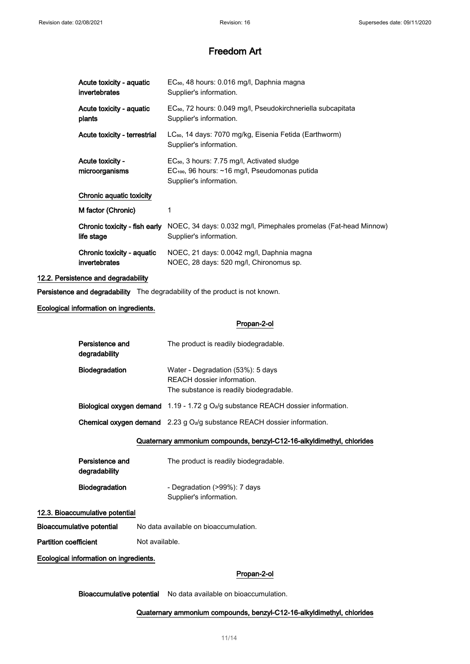| Acute toxicity - aquatic<br>invertebrates   | EC <sub>50</sub> , 48 hours: 0.016 mg/l, Daphnia magna<br>Supplier's information.                                                            |
|---------------------------------------------|----------------------------------------------------------------------------------------------------------------------------------------------|
| Acute toxicity - aquatic<br>plants          | EC <sub>50</sub> , 72 hours: 0.049 mg/l, Pseudokirchneriella subcapitata<br>Supplier's information.                                          |
| Acute toxicity - terrestrial                | LC <sub>50</sub> , 14 days: 7070 mg/kg, Eisenia Fetida (Earthworm)<br>Supplier's information.                                                |
| <b>Acute toxicity -</b><br>microorganisms   | EC <sub>50</sub> , 3 hours: 7.75 mg/l, Activated sludge<br>$EC100$ , 96 hours: $\sim$ 16 mg/l, Pseudomonas putida<br>Supplier's information. |
| Chronic aquatic toxicity                    |                                                                                                                                              |
| M factor (Chronic)                          | 1                                                                                                                                            |
| Chronic toxicity - fish early<br>life stage | NOEC, 34 days: 0.032 mg/l, Pimephales promelas (Fat-head Minnow)<br>Supplier's information.                                                  |
| Chronic toxicity - aquatic<br>invertebrates | NOEC, 21 days: 0.0042 mg/l, Daphnia magna<br>NOEC, 28 days: 520 mg/l, Chironomus sp.                                                         |

#### 12.2. Persistence and degradability

Persistence and degradability The degradability of the product is not known.

Ecological information on ingredients.

Propan-2-ol

| Persistence and<br>degradability                                      | The product is readily biodegradable.                                                                      |  |
|-----------------------------------------------------------------------|------------------------------------------------------------------------------------------------------------|--|
| <b>Biodegradation</b>                                                 | Water - Degradation (53%): 5 days<br>REACH dossier information.<br>The substance is readily biodegradable. |  |
|                                                                       | <b>Biological oxygen demand</b> $1.19 - 1.72$ g $O_2$ /g substance REACH dossier information.              |  |
|                                                                       | <b>Chemical oxygen demand</b> $2.23$ g $O2/g$ substance REACH dossier information.                         |  |
| Quaternary ammonium compounds, benzyl-C12-16-alkyldimethyl, chlorides |                                                                                                            |  |

| Persistence and<br>degradability | The product is readily biodegradable. |
|----------------------------------|---------------------------------------|
| <b>Biodegradation</b>            | - Degradation (>99%): 7 days          |
|                                  | Supplier's information.               |

#### 12.3. Bioaccumulative potential

Bioaccumulative potential No data available on bioaccumulation.

Partition coefficient Not available.

Ecological information on ingredients.

## Propan-2-ol

Bioaccumulative potential No data available on bioaccumulation.

## Quaternary ammonium compounds, benzyl-C12-16-alkyldimethyl, chlorides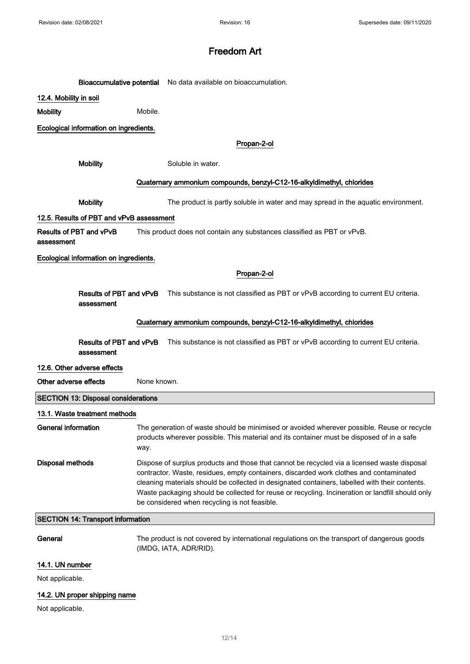|                                          |                                            |                                                                                                                                                                                                                                                                                                                                                                                                                                              | Bioaccumulative potential No data available on bioaccumulation.                                                                                                                         |
|------------------------------------------|--------------------------------------------|----------------------------------------------------------------------------------------------------------------------------------------------------------------------------------------------------------------------------------------------------------------------------------------------------------------------------------------------------------------------------------------------------------------------------------------------|-----------------------------------------------------------------------------------------------------------------------------------------------------------------------------------------|
| 12.4. Mobility in soil                   |                                            |                                                                                                                                                                                                                                                                                                                                                                                                                                              |                                                                                                                                                                                         |
| <b>Mobility</b>                          |                                            | Mobile.                                                                                                                                                                                                                                                                                                                                                                                                                                      |                                                                                                                                                                                         |
|                                          | Ecological information on ingredients.     |                                                                                                                                                                                                                                                                                                                                                                                                                                              |                                                                                                                                                                                         |
|                                          |                                            |                                                                                                                                                                                                                                                                                                                                                                                                                                              | Propan-2-ol                                                                                                                                                                             |
|                                          |                                            |                                                                                                                                                                                                                                                                                                                                                                                                                                              |                                                                                                                                                                                         |
|                                          | <b>Mobility</b>                            |                                                                                                                                                                                                                                                                                                                                                                                                                                              | Soluble in water.                                                                                                                                                                       |
|                                          |                                            |                                                                                                                                                                                                                                                                                                                                                                                                                                              | Quaternary ammonium compounds, benzyl-C12-16-alkyldimethyl, chlorides                                                                                                                   |
|                                          | <b>Mobility</b>                            |                                                                                                                                                                                                                                                                                                                                                                                                                                              | The product is partly soluble in water and may spread in the aquatic environment.                                                                                                       |
|                                          | 12.5. Results of PBT and vPvB assessment   |                                                                                                                                                                                                                                                                                                                                                                                                                                              |                                                                                                                                                                                         |
| assessment                               | Results of PBT and vPvB                    |                                                                                                                                                                                                                                                                                                                                                                                                                                              | This product does not contain any substances classified as PBT or vPvB.                                                                                                                 |
|                                          | Ecological information on ingredients.     |                                                                                                                                                                                                                                                                                                                                                                                                                                              |                                                                                                                                                                                         |
|                                          |                                            |                                                                                                                                                                                                                                                                                                                                                                                                                                              | Propan-2-ol                                                                                                                                                                             |
|                                          |                                            |                                                                                                                                                                                                                                                                                                                                                                                                                                              | Results of PBT and vPvB This substance is not classified as PBT or vPvB according to current EU criteria.                                                                               |
|                                          | assessment                                 |                                                                                                                                                                                                                                                                                                                                                                                                                                              |                                                                                                                                                                                         |
|                                          |                                            |                                                                                                                                                                                                                                                                                                                                                                                                                                              | Quaternary ammonium compounds, benzyl-C12-16-alkyldimethyl, chlorides                                                                                                                   |
|                                          | assessment                                 |                                                                                                                                                                                                                                                                                                                                                                                                                                              | Results of PBT and vPvB This substance is not classified as PBT or vPvB according to current EU criteria.                                                                               |
|                                          | 12.6. Other adverse effects                |                                                                                                                                                                                                                                                                                                                                                                                                                                              |                                                                                                                                                                                         |
| Other adverse effects                    |                                            | None known.                                                                                                                                                                                                                                                                                                                                                                                                                                  |                                                                                                                                                                                         |
|                                          | <b>SECTION 13: Disposal considerations</b> |                                                                                                                                                                                                                                                                                                                                                                                                                                              |                                                                                                                                                                                         |
|                                          | 13.1. Waste treatment methods              |                                                                                                                                                                                                                                                                                                                                                                                                                                              |                                                                                                                                                                                         |
| <b>General information</b>               |                                            | way.                                                                                                                                                                                                                                                                                                                                                                                                                                         | The generation of waste should be minimised or avoided wherever possible. Reuse or recycle<br>products wherever possible. This material and its container must be disposed of in a safe |
| <b>Disposal methods</b>                  |                                            | Dispose of surplus products and those that cannot be recycled via a licensed waste disposal<br>contractor. Waste, residues, empty containers, discarded work clothes and contaminated<br>cleaning materials should be collected in designated containers, labelled with their contents.<br>Waste packaging should be collected for reuse or recycling. Incineration or landfill should only<br>be considered when recycling is not feasible. |                                                                                                                                                                                         |
| <b>SECTION 14: Transport information</b> |                                            |                                                                                                                                                                                                                                                                                                                                                                                                                                              |                                                                                                                                                                                         |
| General                                  |                                            |                                                                                                                                                                                                                                                                                                                                                                                                                                              | The product is not covered by international regulations on the transport of dangerous goods<br>(IMDG, IATA, ADR/RID).                                                                   |
| 14.1. UN number                          |                                            |                                                                                                                                                                                                                                                                                                                                                                                                                                              |                                                                                                                                                                                         |
| Not applicable.                          |                                            |                                                                                                                                                                                                                                                                                                                                                                                                                                              |                                                                                                                                                                                         |

# 14.2. UN proper shipping name

Not applicable.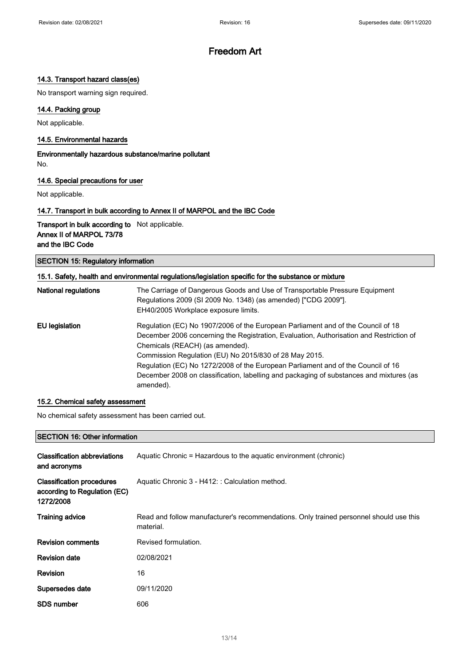## 14.3. Transport hazard class(es)

No transport warning sign required.

## 14.4. Packing group

Not applicable.

#### 14.5. Environmental hazards

Environmentally hazardous substance/marine pollutant No.

#### 14.6. Special precautions for user

Not applicable.

### 14.7. Transport in bulk according to Annex II of MARPOL and the IBC Code

Transport in bulk according to Not applicable. Annex II of MARPOL 73/78 and the IBC Code

SECTION 15: Regulatory information

| 15.1. Safety, health and environmental regulations/legislation specific for the substance or mixture |                                                                                                                                               |  |
|------------------------------------------------------------------------------------------------------|-----------------------------------------------------------------------------------------------------------------------------------------------|--|
| <b>National regulations</b>                                                                          | The Carriage of Dangerous Goods and Use of Transportable Pressure Equipment<br>Regulations 2009 (SI 2009 No. 1348) (as amended) ["CDG 2009"]. |  |
|                                                                                                      | EH40/2005 Workplace exposure limits.                                                                                                          |  |
| EU legislation                                                                                       | Regulation (EC) No 1907/2006 of the European Parliament and of the Council of 18                                                              |  |
|                                                                                                      | December 2006 concerning the Registration, Evaluation, Authorisation and Restriction of                                                       |  |
|                                                                                                      | Chemicals (REACH) (as amended).                                                                                                               |  |
|                                                                                                      | Commission Regulation (EU) No 2015/830 of 28 May 2015.                                                                                        |  |
|                                                                                                      | Regulation (EC) No 1272/2008 of the European Parliament and of the Council of 16                                                              |  |
|                                                                                                      | December 2008 on classification, labelling and packaging of substances and mixtures (as                                                       |  |
|                                                                                                      | amended).                                                                                                                                     |  |

## 15.2. Chemical safety assessment

No chemical safety assessment has been carried out.

#### SECTION 16: Other information

| <b>Classification abbreviations</b><br>and acronyms                           | Aquatic Chronic = Hazardous to the aquatic environment (chronic)                                    |
|-------------------------------------------------------------------------------|-----------------------------------------------------------------------------------------------------|
| <b>Classification procedures</b><br>according to Regulation (EC)<br>1272/2008 | Aquatic Chronic 3 - H412: : Calculation method.                                                     |
| <b>Training advice</b>                                                        | Read and follow manufacturer's recommendations. Only trained personnel should use this<br>material. |
| <b>Revision comments</b>                                                      | Revised formulation.                                                                                |
| <b>Revision date</b>                                                          | 02/08/2021                                                                                          |
| Revision                                                                      | 16                                                                                                  |
| Supersedes date                                                               | 09/11/2020                                                                                          |
| <b>SDS number</b>                                                             | 606                                                                                                 |